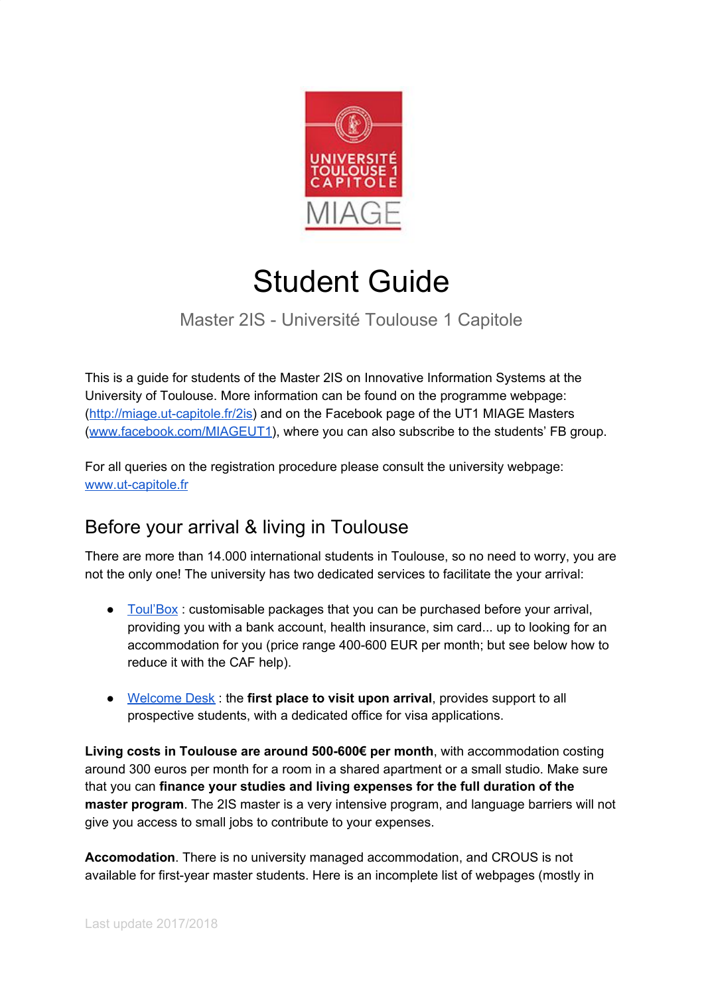

# Student Guide

### Master 2IS - Université Toulouse 1 Capitole

This is a guide for students of the Master 2IS on Innovative Information Systems at the University of Toulouse. More information can be found on the programme webpage: ([http://miage.ut-capitole.fr/2is\)](http://miage.ut-capitole.fr/2is) and on the Facebook page of the UT1 MIAGE Masters ([www.facebook.com/MIAGEUT1](http://www.facebook.com/MIAGEUT1)), where you can also subscribe to the students' FB group.

For all queries on the registration procedure please consult the university webpage: [www.ut-capitole.fr](http://www.ut-capitole.fr/)

## Before your arrival & living in Toulouse

There are more than 14.000 international students in Toulouse, so no need to worry, you are not the only one! The university has two dedicated services to facilitate the your arrival:

- Toul'Box : customisable packages that you can be purchased before your arrival, providing you with a bank account, health insurance, sim card... up to looking for an accommodation for you (price range 400-600 EUR per month; but see below how to reduce it with the CAF help).
- [Welcome](http://miage.ut-capitole.fr/adminsite/fcktoolbox/fckeditor/editor/en.univ-toulouse.fr/welcome-desk) Desk : the **first place to visit upon arrival**, provides support to all prospective students, with a dedicated office for visa applications.

**Living costs in Toulouse are around 500-600€ per month**, with accommodation costing around 300 euros per month for a room in a shared apartment or a small studio. Make sure that you can **finance your studies and living expenses for the full duration of the master program**. The 2IS master is a very intensive program, and language barriers will not give you access to small jobs to contribute to your expenses.

**Accomodation**. There is no university managed accommodation, and CROUS is not available for first-year master students. Here is an incomplete list of webpages (mostly in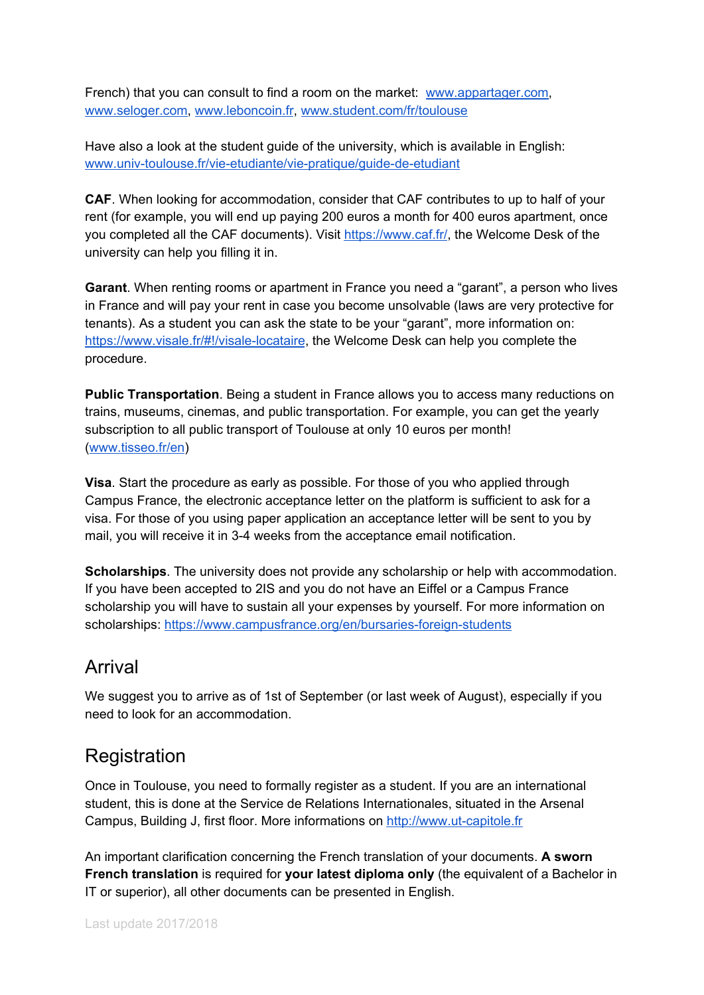French) that you can consult to find a room on the market: [www.appartager.com,](https://www.appartager.com/) [www.seloger.com,](http://www.seloger.com/) [www.leboncoin.fr](http://www.leboncoin.fr/), [www.student.com/fr/toulouse](https://www.student.com/fr/toulouse)

Have also a look at the student guide of the university, which is available in English: [www.univ-toulouse.fr/vie-etudiante/vie-pratique/guide-de-etudiant](http://www.univ-toulouse.fr/vie-etudiante/vie-pratique/guide-de-etudiant)

**CAF**. When looking for accommodation, consider that CAF contributes to up to half of your rent (for example, you will end up paying 200 euros a month for 400 euros apartment, once you completed all the CAF documents). Visit [https://www.caf.fr/,](https://www.caf.fr/) the Welcome Desk of the university can help you filling it in.

**Garant**. When renting rooms or apartment in France you need a "garant", a person who lives in France and will pay your rent in case you become unsolvable (laws are very protective for tenants). As a student you can ask the state to be your "garant", more information on: <https://www.visale.fr/#!/visale-locataire>, the Welcome Desk can help you complete the procedure.

**Public Transportation**. Being a student in France allows you to access many reductions on trains, museums, cinemas, and public transportation. For example, you can get the yearly subscription to all public transport of Toulouse at only 10 euros per month! ([www.tisseo.fr/en](http://www.tisseo.fr/en))

**Visa**. Start the procedure as early as possible. For those of you who applied through Campus France, the electronic acceptance letter on the platform is sufficient to ask for a visa. For those of you using paper application an acceptance letter will be sent to you by mail, you will receive it in 3-4 weeks from the acceptance email notification.

**Scholarships**. The university does not provide any scholarship or help with accommodation. If you have been accepted to 2IS and you do not have an Eiffel or a Campus France scholarship you will have to sustain all your expenses by yourself. For more information on scholarships: <https://www.campusfrance.org/en/bursaries-foreign-students>

#### Arrival

We suggest you to arrive as of 1st of September (or last week of August), especially if you need to look for an accommodation.

## **Registration**

Once in Toulouse, you need to formally register as a student. If you are an international student, this is done at the Service de Relations Internationales, situated in the Arsenal Campus, Building J, first floor. More informations on [http://www.ut-capitole.fr](http://www.ut-capitole.fr/)

An important clarification concerning the French translation of your documents. **A sworn French translation** is required for **your latest diploma only** (the equivalent of a Bachelor in IT or superior), all other documents can be presented in English.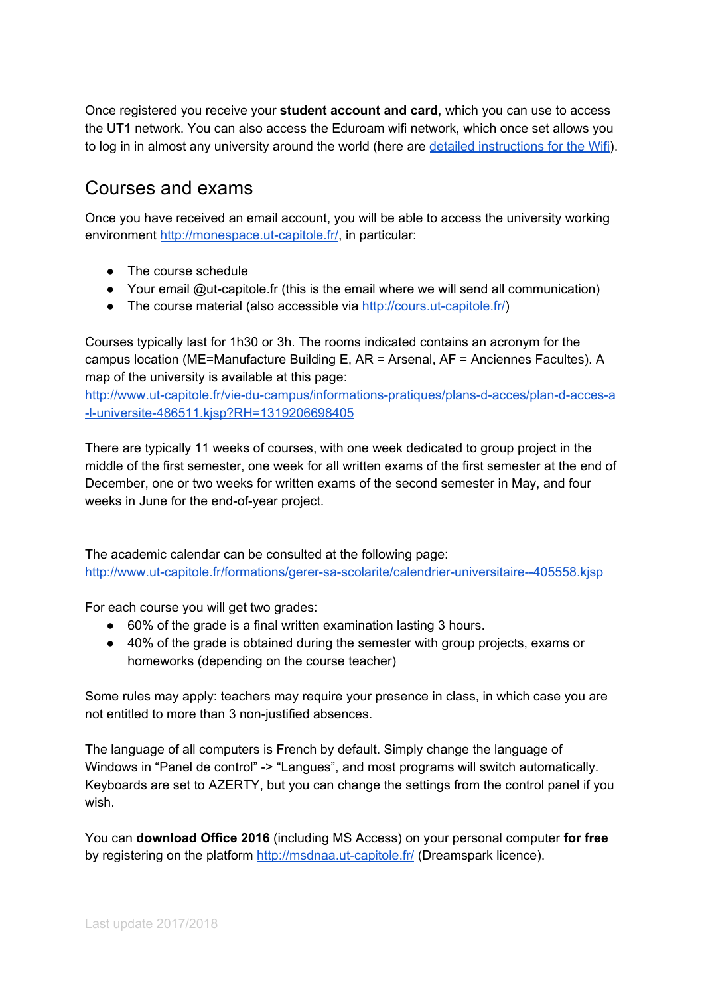Once registered you receive your **student account and card**, which you can use to access the UT1 network. You can also access the Eduroam wifi network, which once set allows you to log in in almost any university around the world (here are detailed [instructions](http://intranet.ut-capitole.fr/outils-numeriques/systemes-et-reseaux/me-connecter/tutoriel-wifi-eduroam-639656.kjsp?RH=1318850242836) for the Wifi).

#### Courses and exams

Once you have received an email account, you will be able to access the university working environment [http://monespace.ut-capitole.fr/,](http://monespace.ut-capitole.fr/) in particular:

- The course schedule
- Your email @ut-capitole.fr (this is the email where we will send all communication)
- The course material (also accessible via [http://cours.ut-capitole.fr/\)](http://cours.ut-capitole.fr/)

Courses typically last for 1h30 or 3h. The rooms indicated contains an acronym for the campus location (ME=Manufacture Building E, AR = Arsenal, AF = Anciennes Facultes). A map of the university is available at this page:

[http://www.ut-capitole.fr/vie-du-campus/informations-pratiques/plans-d-acces/plan-d-acces-a](http://www.ut-capitole.fr/vie-du-campus/informations-pratiques/plans-d-acces/plan-d-acces-a-l-universite-486511.kjsp?RH=1319206698405) [-l-universite-486511.kjsp?RH=1319206698405](http://www.ut-capitole.fr/vie-du-campus/informations-pratiques/plans-d-acces/plan-d-acces-a-l-universite-486511.kjsp?RH=1319206698405)

There are typically 11 weeks of courses, with one week dedicated to group project in the middle of the first semester, one week for all written exams of the first semester at the end of December, one or two weeks for written exams of the second semester in May, and four weeks in June for the end-of-year project.

The academic calendar can be consulted at the following page: <http://www.ut-capitole.fr/formations/gerer-sa-scolarite/calendrier-universitaire--405558.kjsp>

For each course you will get two grades:

- 60% of the grade is a final written examination lasting 3 hours.
- 40% of the grade is obtained during the semester with group projects, exams or homeworks (depending on the course teacher)

Some rules may apply: teachers may require your presence in class, in which case you are not entitled to more than 3 non-justified absences.

The language of all computers is French by default. Simply change the language of Windows in "Panel de control" -> "Langues", and most programs will switch automatically. Keyboards are set to AZERTY, but you can change the settings from the control panel if you wish.

You can **download Office 2016** (including MS Access) on your personal computer **for free** by registering on the platform <http://msdnaa.ut-capitole.fr/> (Dreamspark licence).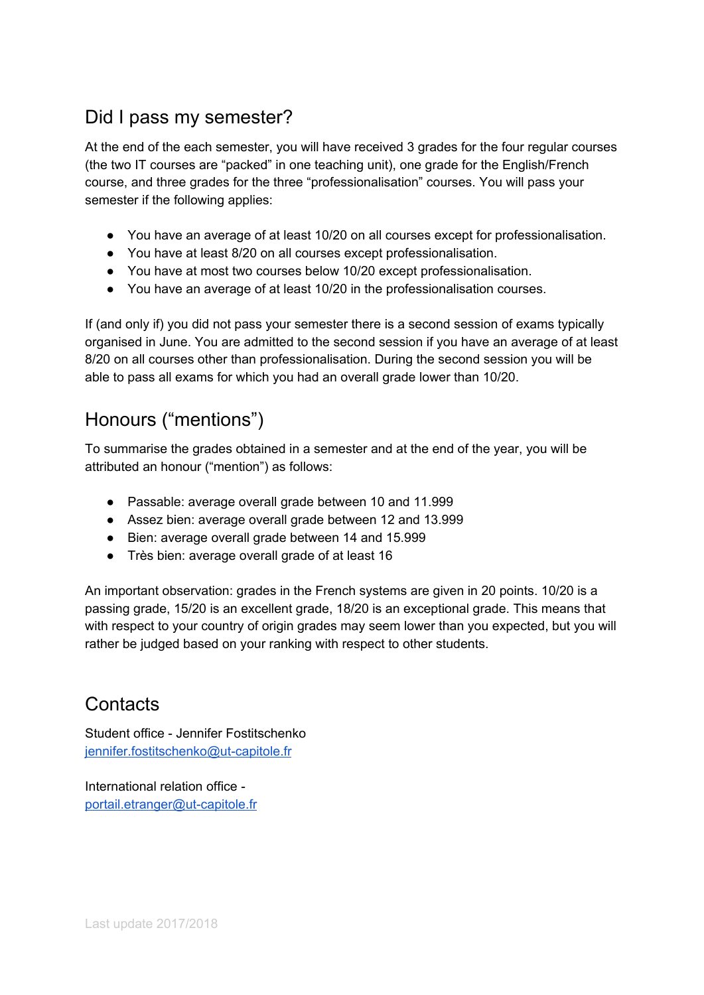## Did I pass my semester?

At the end of the each semester, you will have received 3 grades for the four regular courses (the two IT courses are "packed" in one teaching unit), one grade for the English/French course, and three grades for the three "professionalisation" courses. You will pass your semester if the following applies:

- You have an average of at least 10/20 on all courses except for professionalisation.
- You have at least 8/20 on all courses except professionalisation.
- You have at most two courses below 10/20 except professionalisation.
- You have an average of at least 10/20 in the professionalisation courses.

If (and only if) you did not pass your semester there is a second session of exams typically organised in June. You are admitted to the second session if you have an average of at least 8/20 on all courses other than professionalisation. During the second session you will be able to pass all exams for which you had an overall grade lower than 10/20.

# Honours ("mentions")

To summarise the grades obtained in a semester and at the end of the year, you will be attributed an honour ("mention") as follows:

- Passable: average overall grade between 10 and 11.999
- Assez bien: average overall grade between 12 and 13.999
- Bien: average overall grade between 14 and 15.999
- Très bien: average overall grade of at least 16

An important observation: grades in the French systems are given in 20 points. 10/20 is a passing grade, 15/20 is an excellent grade, 18/20 is an exceptional grade. This means that with respect to your country of origin grades may seem lower than you expected, but you will rather be judged based on your ranking with respect to other students.

## **Contacts**

Student office - Jennifer Fostitschenko [jennifer.fostitschenko@ut-capitole.fr](mailto:jennifer.fostitschenko@ut-capitole.fr)

International relation office [portail.etranger@ut-capitole.fr](mailto:portail.etranger@ut-capitole.fr)